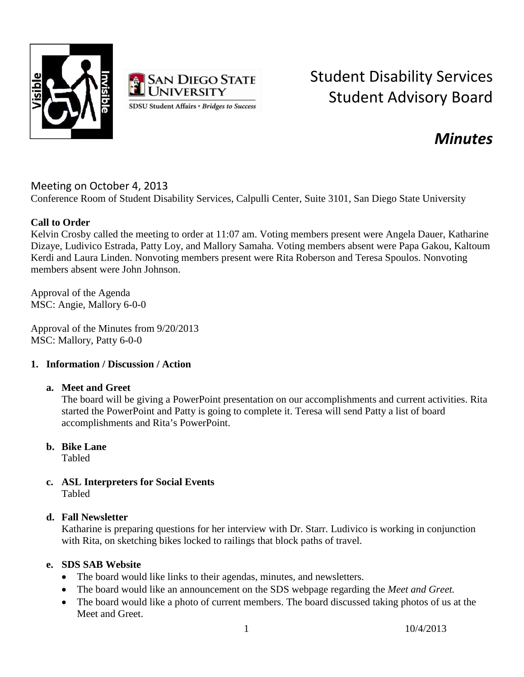



# Student Disability Services Student Advisory Board

## *Minutes*

### Meeting on October 4, 2013

Conference Room of Student Disability Services, Calpulli Center, Suite 3101, San Diego State University

#### **Call to Order**

Kelvin Crosby called the meeting to order at 11:07 am. Voting members present were Angela Dauer, Katharine Dizaye, Ludivico Estrada, Patty Loy, and Mallory Samaha. Voting members absent were Papa Gakou, Kaltoum Kerdi and Laura Linden. Nonvoting members present were Rita Roberson and Teresa Spoulos. Nonvoting members absent were John Johnson.

Approval of the Agenda MSC: Angie, Mallory 6-0-0

Approval of the Minutes from 9/20/2013 MSC: Mallory, Patty 6-0-0

#### **1. Information / Discussion / Action**

#### **a. Meet and Greet**

The board will be giving a PowerPoint presentation on our accomplishments and current activities. Rita started the PowerPoint and Patty is going to complete it. Teresa will send Patty a list of board accomplishments and Rita's PowerPoint.

#### **b. Bike Lane**

Tabled

**c. ASL Interpreters for Social Events** Tabled

#### **d. Fall Newsletter**

Katharine is preparing questions for her interview with Dr. Starr. Ludivico is working in conjunction with Rita, on sketching bikes locked to railings that block paths of travel.

#### **e. SDS SAB Website**

- The board would like links to their agendas, minutes, and newsletters.
- The board would like an announcement on the SDS webpage regarding the *Meet and Greet.*
- The board would like a photo of current members. The board discussed taking photos of us at the Meet and Greet.